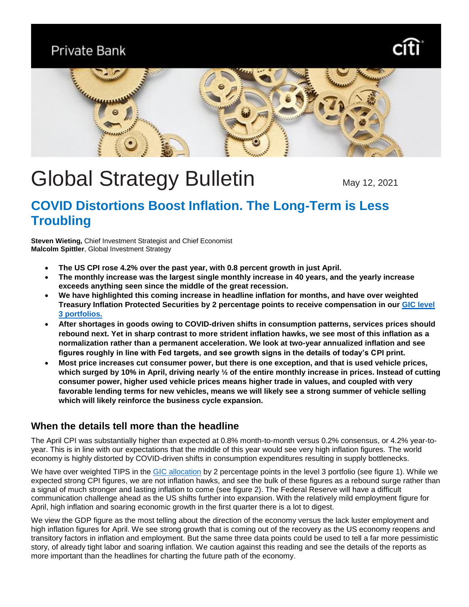**Private Bank** 





# Global Strategy Bulletin May 12, 2021

## **COVID Distortions Boost Inflation. The Long-Term is Less Troubling**

**Steven Wieting,** Chief Investment Strategist and Chief Economist **Malcolm Spittler**, Global Investment Strategy

- **The US CPI rose 4.2% over the past year, with 0.8 percent growth in just April.**
- **The monthly increase was the largest single monthly increase in 40 years, and the yearly increase exceeds anything seen since the middle of the great recession.**
- **We have highlighted this coming increase in headline inflation for months, and have over weighted Treasury Inflation Protected Securities by 2 percentage points to receive compensation in our [GIC level](https://www.privatebank.citibank.com/ivc/docs/quadrant/gicaa-04212021.pdf)  [3 portfolios.](https://www.privatebank.citibank.com/ivc/docs/quadrant/gicaa-04212021.pdf)**
- **After shortages in goods owing to COVID-driven shifts in consumption patterns, services prices should rebound next. Yet in sharp contrast to more strident inflation hawks, we see most of this inflation as a normalization rather than a permanent acceleration. We look at two-year annualized inflation and see figures roughly in line with Fed targets, and see growth signs in the details of today's CPI print.**
- **Most price increases cut consumer power, but there is one exception, and that is used vehicle prices, which surged by 10% in April, driving nearly ½ of the entire monthly increase in prices. Instead of cutting consumer power, higher used vehicle prices means higher trade in values, and coupled with very favorable lending terms for new vehicles, means we will likely see a strong summer of vehicle selling which will likely reinforce the business cycle expansion.**

## **When the details tell more than the headline**

The April CPI was substantially higher than expected at 0.8% month-to-month versus 0.2% consensus, or 4.2% year-toyear. This is in line with our expectations that the middle of this year would see very high inflation figures. The world economy is highly distorted by COVID-driven shifts in consumption expenditures resulting in supply bottlenecks.

We have over weighted TIPS in the [GIC allocation](https://www.privatebank.citibank.com/ivc/docs/quadrant/gicaa-04212021.pdf) by 2 percentage points in the level 3 portfolio (see figure 1). While we expected strong CPI figures, we are not inflation hawks, and see the bulk of these figures as a rebound surge rather than a signal of much stronger and lasting inflation to come (see figure 2). The Federal Reserve will have a difficult communication challenge ahead as the US shifts further into expansion. With the relatively mild employment figure for April, high inflation and soaring economic growth in the first quarter there is a lot to digest.

We view the GDP figure as the most telling about the direction of the economy versus the lack luster employment and high inflation figures for April. We see strong growth that is coming out of the recovery as the US economy reopens and transitory factors in inflation and employment. But the same three data points could be used to tell a far more pessimistic story, of already tight labor and soaring inflation. We caution against this reading and see the details of the reports as more important than the headlines for charting the future path of the economy.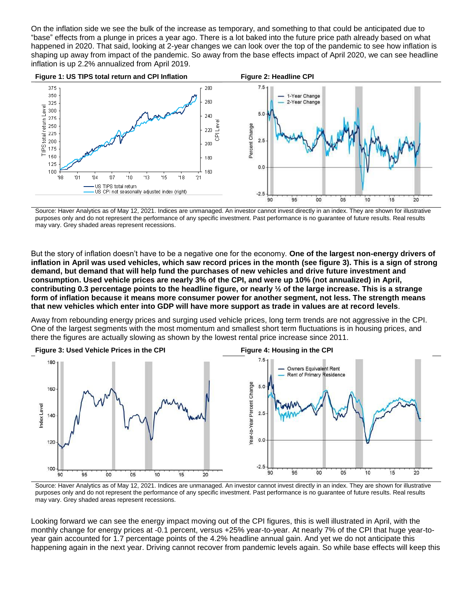On the inflation side we see the bulk of the increase as temporary, and something to that could be anticipated due to "base" effects from a plunge in prices a year ago. There is a lot baked into the future price path already based on what happened in 2020. That said, looking at 2-year changes we can look over the top of the pandemic to see how inflation is shaping up away from impact of the pandemic. So away from the base effects impact of April 2020, we can see headline inflation is up 2.2% annualized from April 2019.



Source: Haver Analytics as of May 12, 2021. Indices are unmanaged. An investor cannot invest directly in an index. They are shown for illustrative purposes only and do not represent the performance of any specific investment. Past performance is no guarantee of future results. Real results may vary. Grey shaded areas represent recessions.

But the story of inflation doesn't have to be a negative one for the economy. **One of the largest non-energy drivers of inflation in April was used vehicles, which saw record prices in the month (see figure 3). This is a sign of strong demand, but demand that will help fund the purchases of new vehicles and drive future investment and consumption. Used vehicle prices are nearly 3% of the CPI, and were up 10% (not annualized) in April, contributing 0.3 percentage points to the headline figure, or nearly ½ of the large increase. This is a strange form of inflation because it means more consumer power for another segment, not less. The strength means that new vehicles which enter into GDP will have more support as trade in values are at record levels**.

Away from rebounding energy prices and surging used vehicle prices, long term trends are not aggressive in the CPI. One of the largest segments with the most momentum and smallest short term fluctuations is in housing prices, and there the figures are actually slowing as shown by the lowest rental price increase since 2011.



Source: Haver Analytics as of May 12, 2021. Indices are unmanaged. An investor cannot invest directly in an index. They are shown for illustrative purposes only and do not represent the performance of any specific investment. Past performance is no guarantee of future results. Real results may vary. Grey shaded areas represent recessions.

Looking forward we can see the energy impact moving out of the CPI figures, this is well illustrated in April, with the monthly change for energy prices at -0.1 percent, versus +25% year-to-year. At nearly 7% of the CPI that huge year-toyear gain accounted for 1.7 percentage points of the 4.2% headline annual gain. And yet we do not anticipate this happening again in the next year. Driving cannot recover from pandemic levels again. So while base effects will keep this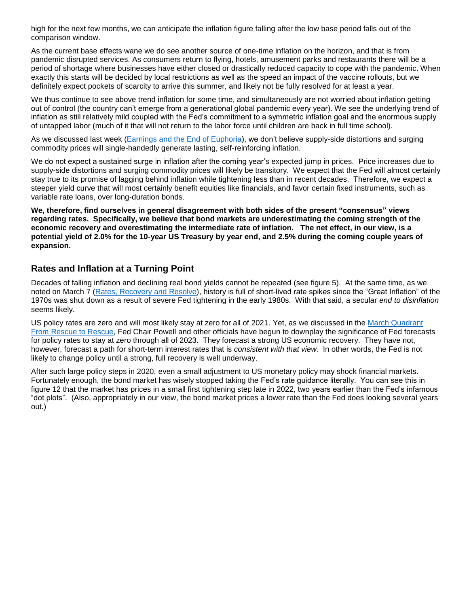high for the next few months, we can anticipate the inflation figure falling after the low base period falls out of the comparison window.

As the current base effects wane we do see another source of one-time inflation on the horizon, and that is from pandemic disrupted services. As consumers return to flying, hotels, amusement parks and restaurants there will be a period of shortage where businesses have either closed or drastically reduced capacity to cope with the pandemic. When exactly this starts will be decided by local restrictions as well as the speed an impact of the vaccine rollouts, but we definitely expect pockets of scarcity to arrive this summer, and likely not be fully resolved for at least a year.

We thus continue to see above trend inflation for some time, and simultaneously are not worried about inflation getting out of control (the country can't emerge from a generational global pandemic every year). We see the underlying trend of inflation as still relatively mild coupled with the Fed's commitment to a symmetric inflation goal and the enormous supply of untapped labor (much of it that will not return to the labor force until children are back in full time school).

As we discussed last week [\(Earnings and the End of Euphoria\)](https://www.privatebank.citibank.com/ivc/docs/quadrant/CIOBulletin05022021.pdf), we don't believe supply-side distortions and surging commodity prices will single-handedly generate lasting, self-reinforcing inflation.

We do not expect a sustained surge in inflation after the coming year's expected jump in prices. Price increases due to supply-side distortions and surging commodity prices will likely be transitory. We expect that the Fed will almost certainly stay true to its promise of lagging behind inflation while tightening less than in recent decades. Therefore, we expect a steeper yield curve that will most certainly benefit equities like financials, and favor certain fixed instruments, such as variable rate loans, over long-duration bonds.

**We, therefore, find ourselves in general disagreement with both sides of the present "consensus" views regarding rates. Specifically, we believe that bond markets are underestimating the coming strength of the economic recovery and overestimating the intermediate rate of inflation. The net effect, in our view, is a potential yield of 2.0% for the 10-year US Treasury by year end, and 2.5% during the coming couple years of expansion.** 

### **Rates and Inflation at a Turning Point**

Decades of falling inflation and declining real bond yields cannot be repeated (see figure 5). At the same time, as we noted on March 7 [\(Rates, Recovery and Resolve\)](https://www.privatebank.citibank.com/ivc/docs/quadrant/CIO030721.pdf), history is full of short-lived rate spikes since the "Great Inflation" of the 1970s was shut down as a result of severe Fed tightening in the early 1980s. With that said, a secular *end to disinflation* seems likely.

US policy rates are zero and will most likely stay at zero for all of 2021. Yet, as we discussed in the [March Quadrant](https://www.privatebank.citibank.com/ivc/docs/quadrant/CPB_Quadrant_03192021.pdf)  [From Rescue to Rescue,](https://www.privatebank.citibank.com/ivc/docs/quadrant/CPB_Quadrant_03192021.pdf) Fed Chair Powell and other officials have begun to downplay the significance of Fed forecasts for policy rates to stay at zero through all of 2023. They forecast a strong US economic recovery. They have not, however, forecast a path for short-term interest rates that is *consistent with that view.* In other words, the Fed is not likely to change policy until a strong, full recovery is well underway.

After such large policy steps in 2020, even a small adjustment to US monetary policy may shock financial markets. Fortunately enough, the bond market has wisely stopped taking the Fed's rate guidance literally. You can see this in figure 12 that the market has prices in a small first tightening step late in 2022, two years earlier than the Fed's infamous "dot plots". (Also, appropriately in our view, the bond market prices a lower rate than the Fed does looking several years out.)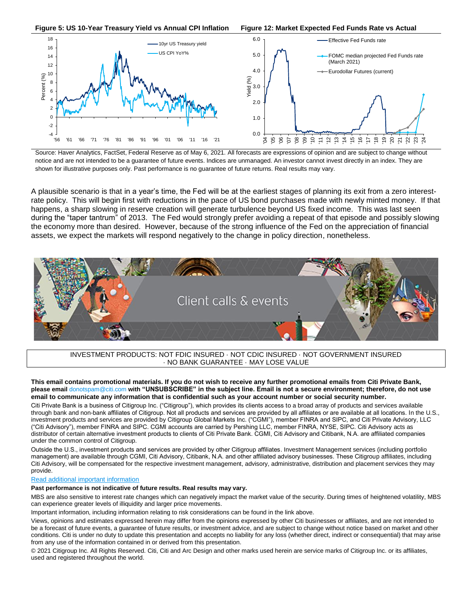

Source: Haver Analytics, FactSet, Federal Reserve as of May 6, 2021. All forecasts are expressions of opinion and are subject to change without notice and are not intended to be a guarantee of future events. Indices are unmanaged. An investor cannot invest directly in an index. They are shown for illustrative purposes only. Past performance is no guarantee of future returns. Real results may vary.

A plausible scenario is that in a year's time, the Fed will be at the earliest stages of planning its exit from a zero interestrate policy. This will begin first with reductions in the pace of US bond purchases made with newly minted money. If that happens, a sharp slowing in reserve creation will generate turbulence beyond US fixed income. This was last seen during the "taper tantrum" of 2013. The Fed would strongly prefer avoiding a repeat of that episode and possibly slowing the economy more than desired. However, because of the strong influence of the Fed on the appreciation of financial assets, we expect the markets will respond negatively to the change in policy direction, nonetheless.



INVESTMENT PRODUCTS: NOT FDIC INSURED · NOT CDIC INSURED · NOT GOVERNMENT INSURED · NO BANK GUARANTEE · MAY LOSE VALUE

**This email contains promotional materials. If you do not wish to receive any further promotional emails from Citi Private Bank, please email** [donotspam@citi.com](mailto:donotspam@citi.com) **with "UNSUBSCRIBE" in the subject line. Email is not a secure environment; therefore, do not use email to communicate any information that is confidential such as your account number or social security number.**

Citi Private Bank is a business of Citigroup Inc. ("Citigroup"), which provides its clients access to a broad array of products and services available through bank and non-bank affiliates of Citigroup. Not all products and services are provided by all affiliates or are available at all locations. In the U.S., investment products and services are provided by Citigroup Global Markets Inc. ("CGMI"), member FINRA and SIPC, and Citi Private Advisory, LLC ("Citi Advisory"), member FINRA and SIPC. CGMI accounts are carried by Pershing LLC, member FINRA, NYSE, SIPC. Citi Advisory acts as distributor of certain alternative investment products to clients of Citi Private Bank. CGMI, Citi Advisory and Citibank, N.A. are affiliated companies under the common control of Citigroup.

Outside the U.S., investment products and services are provided by other Citigroup affiliates. Investment Management services (including portfolio management) are available through CGMI, Citi Advisory, Citibank, N.A. and other affiliated advisory businesses. These Citigroup affiliates, including Citi Advisory, will be compensated for the respective investment management, advisory, administrative, distribution and placement services they may provide.

#### [Read additional important information](https://www.privatebank.citibank.com/ivc/docs/Important%20Disclosure-compliance.pdf)

#### **Past performance is not indicative of future results. Real results may vary.**

MBS are also sensitive to interest rate changes which can negatively impact the market value of the security. During times of heightened volatility, MBS can experience greater levels of illiquidity and larger price movements.

Important information, including information relating to risk considerations can be found in the link above.

Views, opinions and estimates expressed herein may differ from the opinions expressed by other Citi businesses or affiliates, and are not intended to be a forecast of future events, a guarantee of future results, or investment advice, and are subject to change without notice based on market and other conditions. Citi is under no duty to update this presentation and accepts no liability for any loss (whether direct, indirect or consequential) that may arise from any use of the information contained in or derived from this presentation.

© 2021 Citigroup Inc. All Rights Reserved. Citi, Citi and Arc Design and other marks used herein are service marks of Citigroup Inc. or its affiliates, used and registered throughout the world.